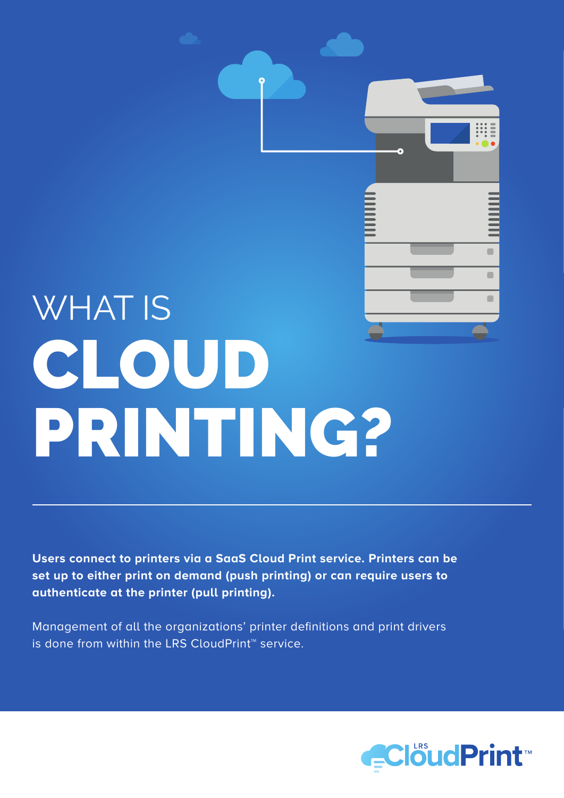# WHAT IS CLOUD PRINTING?

**Users connect to printers via a SaaS Cloud Print service. Printers can be set up to either print on demand (push printing) or can require users to authenticate at the printer (pull printing).**

Management of all the organizations' printer definitions and print drivers is done from within the LRS CloudPrint™ service.



 $\begin{array}{c} \hline \end{array}$ 

 $\begin{array}{c} \begin{array}{c} \begin{array}{c} \begin{array}{c} \end{array} \end{array} \end{array} \end{array}$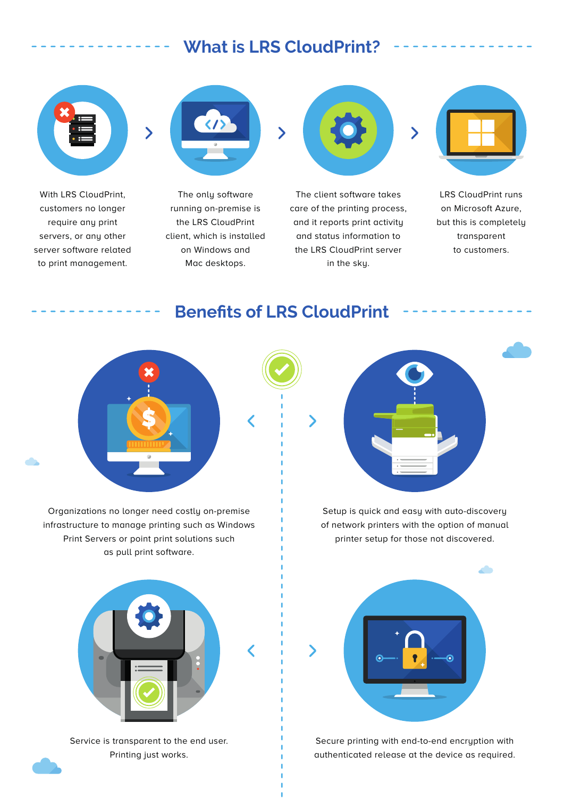# **What is LRS CloudPrint?**



With LRS CloudPrint, customers no longer require any print servers, or any other server software related to print management.



The only software running on-premise is the LRS CloudPrint client, which is installed on Windows and Mac desktops.



The client software takes care of the printing process, and it reports print activity and status information to the LRS CloudPrint server in the sky.



LRS CloudPrint runs on Microsoft Azure, but this is completely transparent to customers.

## **Benefits of LRS CloudPrint**



Organizations no longer need costly on-premise infrastructure to manage printing such as Windows Print Servers or point print solutions such as pull print software.



Service is transparent to the end user. Printing just works.



Setup is quick and easy with auto-discovery of network printers with the option of manual printer setup for those not discovered.



Secure printing with end-to-end encryption with authenticated release at the device as required.